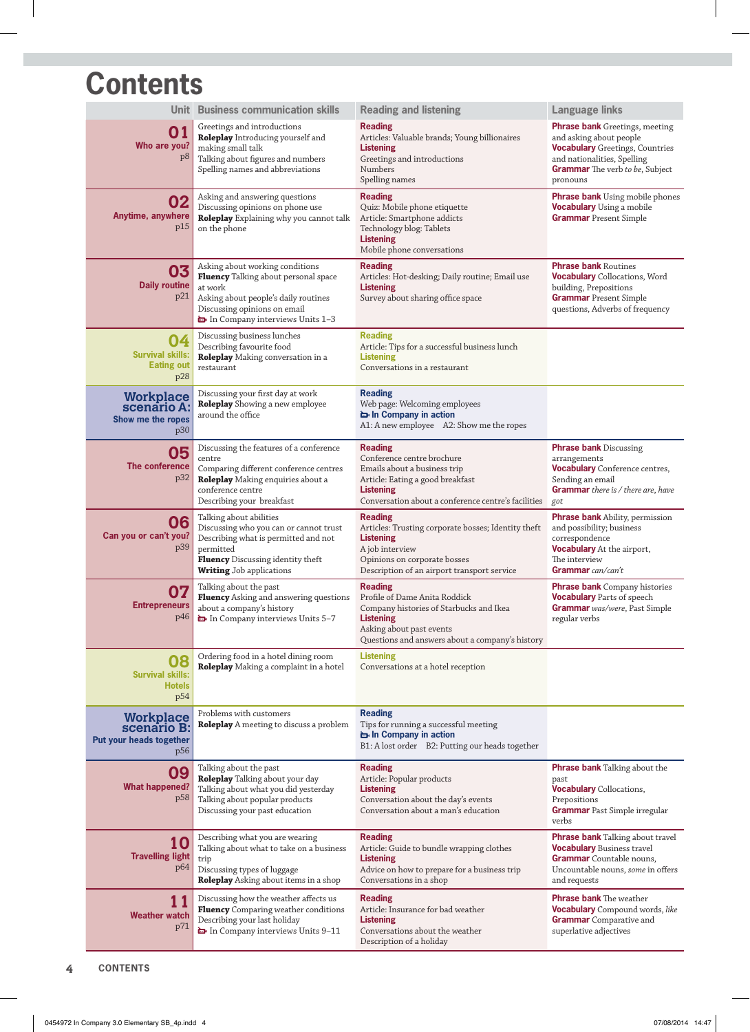## **Contents**

| Unit l                                                     | <b>Business communication skills</b>                                                                                                                                                                  | <b>Reading and listening</b>                                                                                                                                                                  | <b>Language links</b>                                                                                                                                                                           |
|------------------------------------------------------------|-------------------------------------------------------------------------------------------------------------------------------------------------------------------------------------------------------|-----------------------------------------------------------------------------------------------------------------------------------------------------------------------------------------------|-------------------------------------------------------------------------------------------------------------------------------------------------------------------------------------------------|
| 01<br>Who are you?<br>p8                                   | Greetings and introductions<br>Roleplay Introducing yourself and<br>making small talk<br>Talking about figures and numbers<br>Spelling names and abbreviations                                        | <b>Reading</b><br>Articles: Valuable brands; Young billionaires<br><b>Listening</b><br>Greetings and introductions<br>Numbers<br>Spelling names                                               | <b>Phrase bank</b> Greetings, meeting<br>and asking about people<br><b>Vocabulary</b> Greetings, Countries<br>and nationalities, Spelling<br><b>Grammar</b> The verb to be, Subject<br>pronouns |
| 02<br>Anytime, anywhere<br>p15                             | Asking and answering questions<br>Discussing opinions on phone use<br>Roleplay Explaining why you cannot talk<br>on the phone                                                                         | <b>Reading</b><br>Quiz: Mobile phone etiquette<br>Article: Smartphone addicts<br>Technology blog: Tablets<br><b>Listening</b><br>Mobile phone conversations                                   | <b>Phrase bank</b> Using mobile phones<br><b>Vocabulary</b> Using a mobile<br><b>Grammar</b> Present Simple                                                                                     |
| 03<br><b>Daily routine</b><br>p21                          | Asking about working conditions<br>Fluency Talking about personal space<br>at work<br>Asking about people's daily routines<br>Discussing opinions on email<br>In Company interviews Units 1-3         | <b>Reading</b><br>Articles: Hot-desking; Daily routine; Email use<br><b>Listening</b><br>Survey about sharing office space                                                                    | <b>Phrase bank Routines</b><br><b>Vocabulary</b> Collocations, Word<br>building, Prepositions<br><b>Grammar</b> Present Simple<br>questions, Adverbs of frequency                               |
| 04<br><b>Survival skills:</b><br><b>Eating out</b><br>p28  | Discussing business lunches<br>Describing favourite food<br>Roleplay Making conversation in a<br>restaurant                                                                                           | <b>Reading</b><br>Article: Tips for a successful business lunch<br><b>Listening</b><br>Conversations in a restaurant                                                                          |                                                                                                                                                                                                 |
| Workplace<br>scenario A:<br>Show me the ropes<br>p30       | Discussing your first day at work<br><b>Roleplay</b> Showing a new employee<br>around the office                                                                                                      | <b>Reading</b><br>Web page: Welcoming employees<br>in Company in action<br>A1: A new employee A2: Show me the ropes                                                                           |                                                                                                                                                                                                 |
| 05<br>The conference<br>p32                                | Discussing the features of a conference<br>centre<br>Comparing different conference centres<br>Roleplay Making enquiries about a<br>conference centre<br>Describing your breakfast                    | <b>Reading</b><br>Conference centre brochure<br>Emails about a business trip<br>Article: Eating a good breakfast<br><b>Listening</b><br>Conversation about a conference centre's facilities   | <b>Phrase bank Discussing</b><br>arrangements<br><b>Vocabulary</b> Conference centres,<br>Sending an email<br>Grammar there is / there are, have<br>got                                         |
| 06<br>Can you or can't you?<br>p39                         | Talking about abilities<br>Discussing who you can or cannot trust<br>Describing what is permitted and not<br>permitted<br><b>Fluency</b> Discussing identity theft<br><b>Writing</b> Job applications | <b>Reading</b><br>Articles: Trusting corporate bosses; Identity theft<br><b>Listening</b><br>A job interview<br>Opinions on corporate bosses<br>Description of an airport transport service   | <b>Phrase bank</b> Ability, permission<br>and possibility; business<br>correspondence<br>Vocabulary At the airport,<br>The interview<br>Grammar can/can't                                       |
| 07<br><b>Entrepreneurs</b><br>p46                          | Talking about the past<br><b>Fluency</b> Asking and answering questions<br>about a company's history<br>In Company interviews Units 5-7                                                               | <b>Reading</b><br>Profile of Dame Anita Roddick<br>Company histories of Starbucks and Ikea<br><b>Listening</b><br>Asking about past events<br>Questions and answers about a company's history | <b>Phrase bank</b> Company histories<br><b>Vocabulary</b> Parts of speech<br>Grammar was/were, Past Simple<br>regular verbs                                                                     |
| 80<br><b>Survival skills:</b><br><b>Hotels</b><br>p54      | Ordering food in a hotel dining room<br>Roleplay Making a complaint in a hotel                                                                                                                        | <b>Listening</b><br>Conversations at a hotel reception                                                                                                                                        |                                                                                                                                                                                                 |
| Workplace<br>scenario B:<br>Put your heads together<br>p56 | Problems with customers<br>Roleplay A meeting to discuss a problem                                                                                                                                    | <b>Reading</b><br>Tips for running a successful meeting<br>in Company in action<br>B1: A lost order B2: Putting our heads together                                                            |                                                                                                                                                                                                 |
| 09<br><b>What happened?</b><br>p58                         | Talking about the past<br>Roleplay Talking about your day<br>Talking about what you did yesterday<br>Talking about popular products<br>Discussing your past education                                 | <b>Reading</b><br>Article: Popular products<br><b>Listening</b><br>Conversation about the day's events<br>Conversation about a man's education                                                | <b>Phrase bank</b> Talking about the<br>past<br><b>Vocabulary</b> Collocations,<br>Prepositions<br><b>Grammar</b> Past Simple irregular<br>verbs                                                |
| 10<br><b>Travelling light</b><br>p <sub>64</sub>           | Describing what you are wearing<br>Talking about what to take on a business<br>trip<br>Discussing types of luggage<br><b>Roleplay</b> Asking about items in a shop                                    | <b>Reading</b><br>Article: Guide to bundle wrapping clothes<br><b>Listening</b><br>Advice on how to prepare for a business trip<br>Conversations in a shop                                    | <b>Phrase bank</b> Talking about travel<br><b>Vocabulary Business travel</b><br>Grammar Countable nouns,<br>Uncountable nouns, some in offers<br>and requests                                   |
| 11<br><b>Weather watch</b><br>p71                          | Discussing how the weather affects us<br><b>Fluency</b> Comparing weather conditions<br>Describing your last holiday<br>In Company interviews Units 9-11                                              | <b>Reading</b><br>Article: Insurance for bad weather<br><b>Listening</b><br>Conversations about the weather<br>Description of a holiday                                                       | <b>Phrase bank</b> The weather<br><b>Vocabulary</b> Compound words, like<br><b>Grammar</b> Comparative and<br>superlative adjectives                                                            |